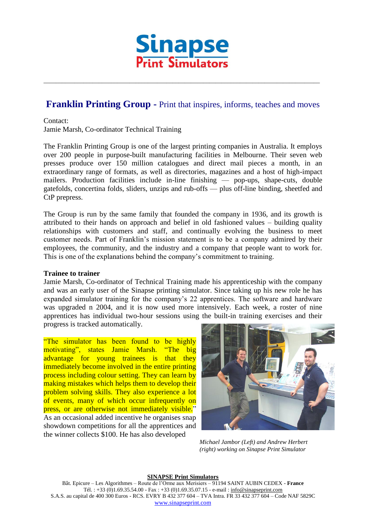

## **Franklin Printing Group -** Print that inspires, informs, teaches and moves

\_\_\_\_\_\_\_\_\_\_\_\_\_\_\_\_\_\_\_\_\_\_\_\_\_\_\_\_\_\_\_\_\_\_\_\_\_\_\_\_\_\_\_\_\_\_\_\_\_\_\_\_\_\_\_\_\_\_\_\_\_\_\_\_\_\_\_\_\_\_\_\_\_\_\_\_\_\_\_\_\_\_\_\_\_\_\_\_\_\_

Contact:

Jamie Marsh, Co-ordinator Technical Training

The Franklin Printing Group is one of the largest printing companies in Australia. It employs over 200 people in purpose-built manufacturing facilities in Melbourne. Their seven web presses produce over 150 million catalogues and direct mail pieces a month, in an extraordinary range of formats, as well as directories, magazines and a host of high-impact mailers. Production facilities include in-line finishing — pop-ups, shape-cuts, double gatefolds, concertina folds, sliders, unzips and rub-offs — plus off-line binding, sheetfed and CtP prepress.

The Group is run by the same family that founded the company in 1936, and its growth is attributed to their hands on approach and belief in old fashioned values – building quality relationships with customers and staff, and continually evolving the business to meet customer needs. Part of Franklin's mission statement is to be a company admired by their employees, the community, and the industry and a company that people want to work for. This is one of the explanations behind the company's commitment to training.

## **Trainee to trainer**

Jamie Marsh, Co-ordinator of Technical Training made his apprenticeship with the company and was an early user of the Sinapse printing simulator. Since taking up his new role he has expanded simulator training for the company's 22 apprentices. The software and hardware was upgraded n 2004, and it is now used more intensively. Each week, a roster of nine apprentices has individual two-hour sessions using the built-in training exercises and their progress is tracked automatically.

"The simulator has been found to be highly motivating", states Jamie Marsh. "The big advantage for young trainees is that they immediately become involved in the entire printing process including colour setting. They can learn by making mistakes which helps them to develop their problem solving skills. They also experience a lot of events, many of which occur infrequently on press, or are otherwise not immediately visible." As an occasional added incentive he organises snap showdown competitions for all the apprentices and the winner collects \$100. He has also developed



*Michael Jambor (Left) and Andrew Herbert (right) working on Sinapse Print Simulator*

## **SINAPSE Print Simulators**

Bât. Epicure – Les Algorithmes – Route de l'Orme aux Merisiers – 91194 SAINT AUBIN CEDEX - **France** Tél. : +33 (0)1.69.35.54.00 - Fax : +33 (0)1.69.35.07.15 - e-mail : info@sinapseprint.com S.A.S. au capital de 400 300 Euros - RCS. EVRY B 432 377 604 – TVA Intra. FR 33 432 377 604 – Code NAF 5829C [www.sinapseprint.com](http://www.sinapseprint.com/)